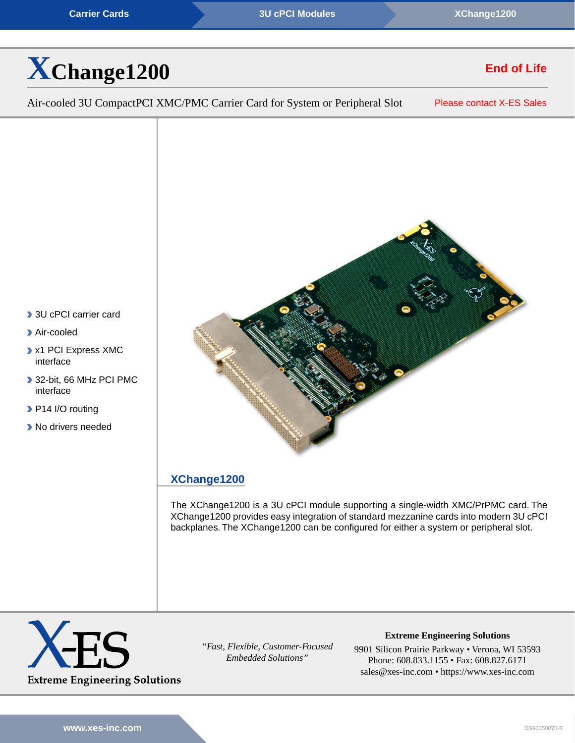**[Carrier Cards](https://www.xes-inc.com/product-category/carriers/?utm_source=dynamic&utm_medium=referral&utm_term=XChange1200&utm_content=Product%20Category&utm_campaign=Datasheet) Carrier Cards [3U cPCI Modules](https://www.xes-inc.com/products-overview/compactpci-products/?utm_source=dynamic&utm_medium=referral&utm_term=XChange1200&utm_content=Form%20Factor&utm_campaign=Datasheet) Carrier Cards [XChange1200](https://www.xes-inc.com/products/carriers/xchange1200/?utm_source=dynamic&utm_medium=referral&utm_term=XChange1200&utm_content=Header&utm_campaign=Datasheet)** 



# **End of Life**

Air-cooled 3U CompactPCI XMC/PMC Carrier Card for System or Peripheral Slot

[Please contact X-ES Sales](https://www.xes-inc.com/about/contact/?utm_source=dynamic&utm_medium=referral&utm_term=XChange1200&utm_content=NRND&utm_campaign=Datasheet)

## **[XChange1200](https://www.xes-inc.com/products/carriers/xchange1200/?utm_source=dynamic&utm_medium=referral&utm_term=XChange1200&utm_content=Description%20Title&utm_campaign=Datasheet)**

The XChange1200 is a 3U cPCI module supporting a single-width XMC/PrPMC card. The XChange1200 provides easy integration of standard mezzanine cards into modern 3U cPCI backplanes. The XChange1200 can be configured for either a system or peripheral slot.



*"Fast, Flexible, Customer-Focused Embedded Solutions"*

**Extreme Engineering Solutions**

9901 Silicon Prairie Parkway • Verona, WI 53593 Phone: 608.833.1155 • Fax: 608.827.6171 sales@xes-inc.com • <https://www.xes-inc.com>

- ▶ 3U cPCI carrier card
- Air-cooled
- x1 PCI Express XMC interface
- 32-bit, 66 MHz PCI PMC interface
- P14 I/O routing
- **No drivers needed**